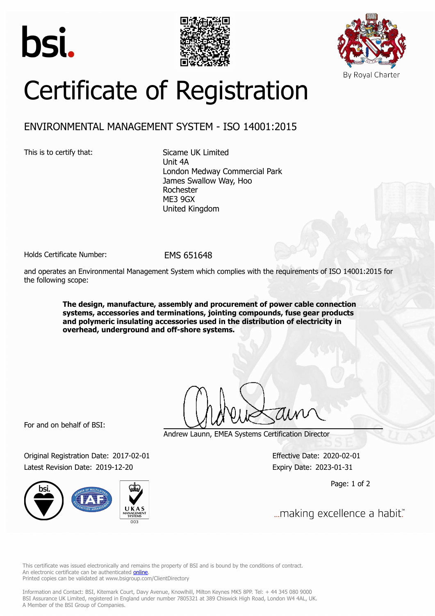





## Certificate of Registration

## ENVIRONMENTAL MANAGEMENT SYSTEM - ISO 14001:2015

This is to certify that: Sicame UK Limited

Unit 4A London Medway Commercial Park James Swallow Way, Hoo Rochester ME3 9GX United Kingdom

Holds Certificate Number: FMS 651648

and operates an Environmental Management System which complies with the requirements of ISO 14001:2015 for the following scope:

> **The design, manufacture, assembly and procurement of power cable connection systems, accessories and terminations, jointing compounds, fuse gear products and polymeric insulating accessories used in the distribution of electricity in overhead, underground and off-shore systems.**

For and on behalf of BSI:

Original Registration Date: 2017-02-01 Effective Date: 2020-02-01 Latest Revision Date: 2019-12-20 Expiry Date: 2023-01-31



Andrew Launn, EMEA Systems Certification Director

Page: 1 of 2

... making excellence a habit."

This certificate was issued electronically and remains the property of BSI and is bound by the conditions of contract. An electronic certificate can be authenticated **[online](https://pgplus.bsigroup.com/CertificateValidation/CertificateValidator.aspx?CertificateNumber=EMS+651648&ReIssueDate=20%2f12%2f2019&Template=uk)**. Printed copies can be validated at www.bsigroup.com/ClientDirectory

Information and Contact: BSI, Kitemark Court, Davy Avenue, Knowlhill, Milton Keynes MK5 8PP. Tel: + 44 345 080 9000 BSI Assurance UK Limited, registered in England under number 7805321 at 389 Chiswick High Road, London W4 4AL, UK. A Member of the BSI Group of Companies.